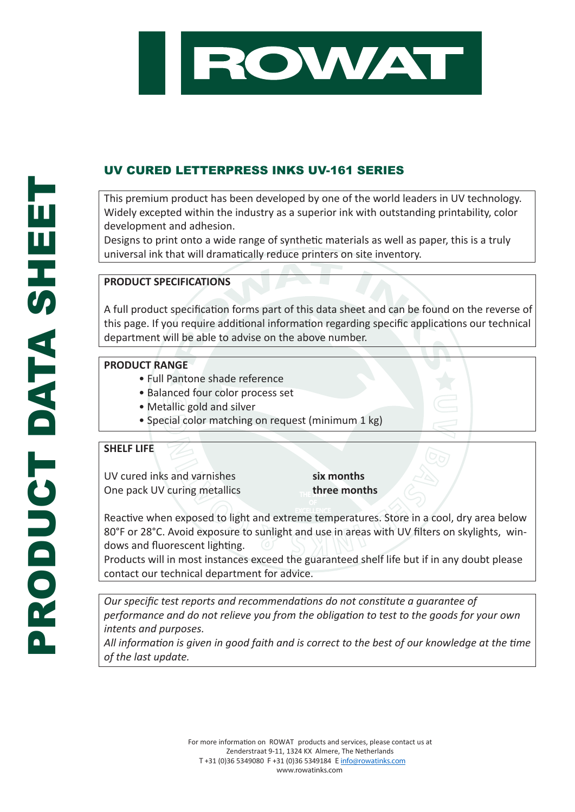

# UV CURED LETTERPRESS INKS UV-161 SERIES

This premium product has been developed by one of the world leaders in UV technology. Widely excepted within the industry as a superior ink with outstanding printability, color development and adhesion.

Designs to print onto a wide range of synthetic materials as well as paper, this is a truly universal ink that will dramatically reduce printers on site inventory.

### **PRODUCT SPECIFICATIONS**

A full product specification forms part of this data sheet and can be found on the reverse of this page. If you require additional information regarding specific applications our technical department will be able to advise on the above number.

### **PRODUCT RANGE**

- Full Pantone shade reference
- Balanced four color process set
- Metallic gold and silver
- Special color matching on request (minimum 1 kg)

#### **SHELF LIFE**

UV cured inks and varnishes **six months One pack UV curing metallics** 

three months

Reactive when exposed to light and extreme temperatures. Store in a cool, dry area below 80°F or 28°C. Avoid exposure to sunlight and use in areas with UV filters on skylights, windows and fluorescent lighting.

Products will in most instances exceed the guaranteed shelf life but if in any doubt please contact our technical department for advice.

*Our specific test reports and recommendations do not constitute a guarantee of performance and do not relieve you from the obligation to test to the goods for your own intents and purposes.*

*All information is given in good faith and is correct to the best of our knowledge at the time of the last update.*